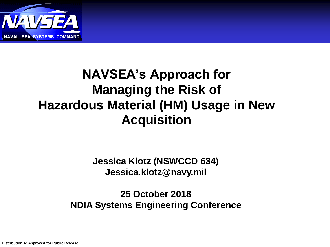

### **NAVSEA's Approach for Managing the Risk of Hazardous Material (HM) Usage in New Acquisition**

**Jessica Klotz (NSWCCD 634) Jessica.klotz@navy.mil**

**25 October 2018 NDIA Systems Engineering Conference**

**Distribution A: Approved for Public Release**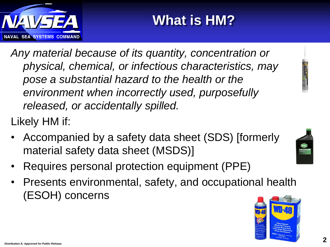

# **What is HM?**

*Any material because of its quantity, concentration or physical, chemical, or infectious characteristics, may pose a substantial hazard to the health or the environment when incorrectly used, purposefully released, or accidentally spilled.*

Likely HM if:

- Accompanied by a safety data sheet (SDS) [formerly material safety data sheet (MSDS)]
- Requires personal protection equipment (PPE)
- Presents environmental, safety, and occupational health (ESOH) concerns

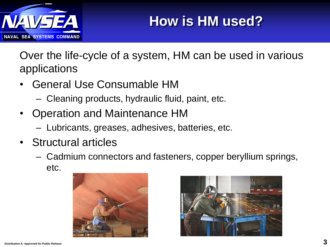

Over the life-cycle of a system, HM can be used in various applications

- General Use Consumable HM
	- Cleaning products, hydraulic fluid, paint, etc.
- Operation and Maintenance HM
	- Lubricants, greases, adhesives, batteries, etc.
- Structural articles
	- Cadmium connectors and fasteners, copper beryllium springs, etc.



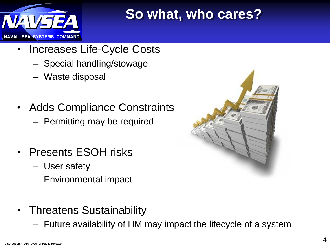

### **So what, who cares?**

- Increases Life-Cycle Costs
	- Special handling/stowage
	- Waste disposal
- Adds Compliance Constraints
	- Permitting may be required
- Presents ESOH risks
	- User safety
	- Environmental impact
- Threatens Sustainability
	- Future availability of HM may impact the lifecycle of a system

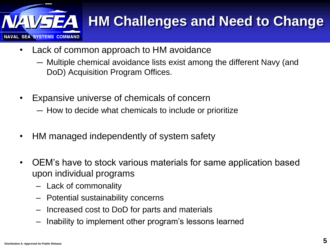

# **HM Challenges and Need to Change**

- Lack of common approach to HM avoidance
	- ― Multiple chemical avoidance lists exist among the different Navy (and DoD) Acquisition Program Offices.
- Expansive universe of chemicals of concern
	- ― How to decide what chemicals to include or prioritize
- HM managed independently of system safety
- OEM's have to stock various materials for same application based upon individual programs
	- Lack of commonality
	- Potential sustainability concerns
	- Increased cost to DoD for parts and materials
	- Inability to implement other program's lessons learned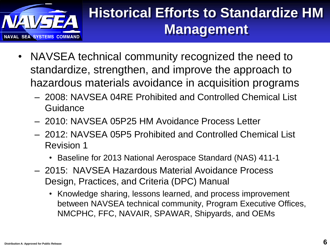

### **Historical Efforts to Standardize HM Management**

- NAVSEA technical community recognized the need to standardize, strengthen, and improve the approach to hazardous materials avoidance in acquisition programs
	- 2008: NAVSEA 04RE Prohibited and Controlled Chemical List **Guidance**
	- 2010: NAVSEA 05P25 HM Avoidance Process Letter
	- 2012: NAVSEA 05P5 Prohibited and Controlled Chemical List Revision 1
		- Baseline for 2013 National Aerospace Standard (NAS) 411-1
	- 2015: NAVSEA Hazardous Material Avoidance Process Design, Practices, and Criteria (DPC) Manual
		- Knowledge sharing, lessons learned, and process improvement between NAVSEA technical community, Program Executive Offices, NMCPHC, FFC, NAVAIR, SPAWAR, Shipyards, and OEMs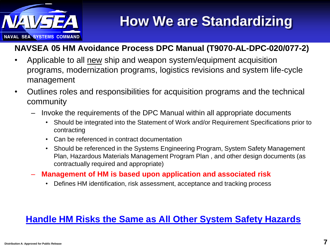

### **How We are Standardizing**

#### **NAVSEA 05 HM Avoidance Process DPC Manual (T9070-AL-DPC-020/077-2)**

- Applicable to all new ship and weapon system/equipment acquisition programs, modernization programs, logistics revisions and system life-cycle management
- Outlines roles and responsibilities for acquisition programs and the technical community
	- Invoke the requirements of the DPC Manual within all appropriate documents
		- Should be integrated into the Statement of Work and/or Requirement Specifications prior to contracting
		- Can be referenced in contract documentation
		- Should be referenced in the Systems Engineering Program, System Safety Management Plan, Hazardous Materials Management Program Plan , and other design documents (as contractually required and appropriate)
	- **Management of HM is based upon application and associated risk**
		- Defines HM identification, risk assessment, acceptance and tracking process

#### **Handle HM Risks the Same as All Other System Safety Hazards**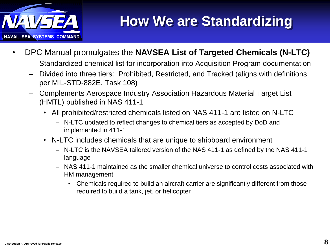

### **How We are Standardizing**

- DPC Manual promulgates the **NAVSEA List of Targeted Chemicals (N-LTC)** 
	- Standardized chemical list for incorporation into Acquisition Program documentation
	- Divided into three tiers: Prohibited, Restricted, and Tracked (aligns with definitions per MIL-STD-882E, Task 108)
	- Complements Aerospace Industry Association Hazardous Material Target List (HMTL) published in NAS 411-1
		- All prohibited/restricted chemicals listed on NAS 411-1 are listed on N-LTC
			- N-LTC updated to reflect changes to chemical tiers as accepted by DoD and implemented in 411-1
		- N-LTC includes chemicals that are unique to shipboard environment
			- N-LTC is the NAVSEA tailored version of the NAS 411-1 as defined by the NAS 411-1 language
			- NAS 411-1 maintained as the smaller chemical universe to control costs associated with HM management
				- Chemicals required to build an aircraft carrier are significantly different from those required to build a tank, jet, or helicopter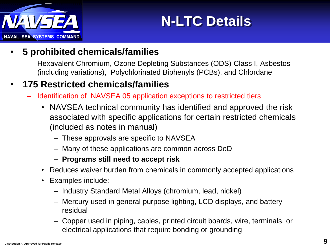

# **N-LTC Details**

- **5 prohibited chemicals/families** 
	- Hexavalent Chromium, Ozone Depleting Substances (ODS) Class I, Asbestos (including variations), Polychlorinated Biphenyls (PCBs), and Chlordane

#### • **175 Restricted chemicals/families**

- Identification of NAVSEA 05 application exceptions to restricted tiers
	- NAVSEA technical community has identified and approved the risk associated with specific applications for certain restricted chemicals (included as notes in manual)
		- These approvals are specific to NAVSEA
		- Many of these applications are common across DoD
		- **Programs still need to accept risk**
	- Reduces waiver burden from chemicals in commonly accepted applications
	- Examples include:
		- Industry Standard Metal Alloys (chromium, lead, nickel)
		- Mercury used in general purpose lighting, LCD displays, and battery residual
		- Copper used in piping, cables, printed circuit boards, wire, terminals, or electrical applications that require bonding or grounding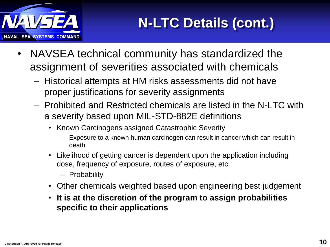

- NAVSEA technical community has standardized the assignment of severities associated with chemicals
	- Historical attempts at HM risks assessments did not have proper justifications for severity assignments
	- Prohibited and Restricted chemicals are listed in the N-LTC with a severity based upon MIL-STD-882E definitions
		- Known Carcinogens assigned Catastrophic Severity
			- Exposure to a known human carcinogen can result in cancer which can result in death
		- Likelihood of getting cancer is dependent upon the application including dose, frequency of exposure, routes of exposure, etc.
			- Probability
		- Other chemicals weighted based upon engineering best judgement
		- **It is at the discretion of the program to assign probabilities specific to their applications**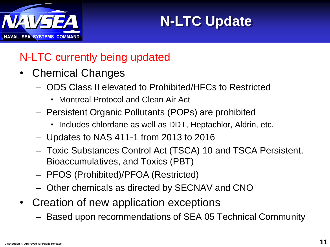

**N-LTC Update**

#### N-LTC currently being updated

- Chemical Changes
	- ODS Class II elevated to Prohibited/HFCs to Restricted
		- Montreal Protocol and Clean Air Act
	- Persistent Organic Pollutants (POPs) are prohibited
		- Includes chlordane as well as DDT, Heptachlor, Aldrin, etc.
	- Updates to NAS 411-1 from 2013 to 2016
	- Toxic Substances Control Act (TSCA) 10 and TSCA Persistent, Bioaccumulatives, and Toxics (PBT)
	- PFOS (Prohibited)/PFOA (Restricted)
	- Other chemicals as directed by SECNAV and CNO
- Creation of new application exceptions
	- Based upon recommendations of SEA 05 Technical Community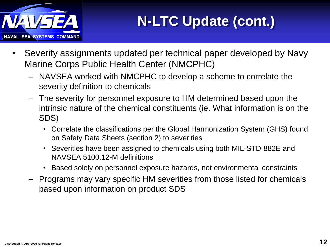

- Severity assignments updated per technical paper developed by Navy Marine Corps Public Health Center (NMCPHC)
	- NAVSEA worked with NMCPHC to develop a scheme to correlate the severity definition to chemicals
	- The severity for personnel exposure to HM determined based upon the intrinsic nature of the chemical constituents (ie. What information is on the SDS)
		- Correlate the classifications per the Global Harmonization System (GHS) found on Safety Data Sheets (section 2) to severities
		- Severities have been assigned to chemicals using both MIL-STD-882E and NAVSEA 5100.12-M definitions
		- Based solely on personnel exposure hazards, not environmental constraints
	- Programs may vary specific HM severities from those listed for chemicals based upon information on product SDS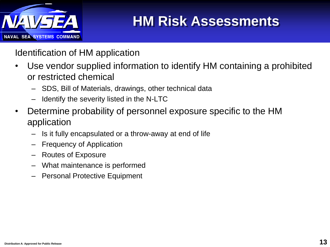

### **HM Risk Assessments**

Identification of HM application

- Use vendor supplied information to identify HM containing a prohibited or restricted chemical
	- SDS, Bill of Materials, drawings, other technical data
	- Identify the severity listed in the N-LTC
- Determine probability of personnel exposure specific to the HM application
	- Is it fully encapsulated or a throw-away at end of life
	- Frequency of Application
	- Routes of Exposure
	- What maintenance is performed
	- Personal Protective Equipment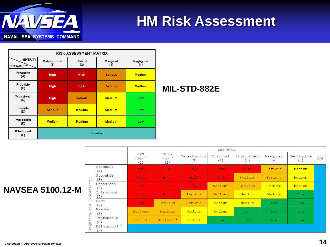

### **HM Risk Assessment**

| <b>RISK ASSESSMENT MATRIX</b>         |                     |                        |                        |                   |  |  |  |  |  |  |
|---------------------------------------|---------------------|------------------------|------------------------|-------------------|--|--|--|--|--|--|
| <b>SEVERITY</b><br><b>PROBABILITY</b> | Catastrophic<br>(1) | <b>Critical</b><br>(2) | <b>Marginal</b><br>(3) | Negligible<br>(4) |  |  |  |  |  |  |
| <b>Frequent</b><br>(A)                | <b>High</b>         | <b>High</b>            | <b>Serious</b>         | <b>Medium</b>     |  |  |  |  |  |  |
| Probable<br>(B)                       | <b>High</b>         | <b>High</b>            | <b>Serious</b>         | <b>Medium</b>     |  |  |  |  |  |  |
| <b>Occasional</b><br>(C)              | <b>High</b>         | <b>Serious</b>         | <b>Medium</b>          | Low               |  |  |  |  |  |  |
| Remote<br>(D)                         | <b>Serious</b>      | <b>Medium</b>          | <b>Medium</b>          | Low               |  |  |  |  |  |  |
| Improbable<br>(E)                     | <b>Medium</b>       | <b>Medium</b>          | <b>Medium</b>          | Low               |  |  |  |  |  |  |
| <b>Eliminated</b><br>(F)              | <b>Eliminated</b>   |                        |                        |                   |  |  |  |  |  |  |

#### **MIL-STD-882E**

|                                                                     |                                | Severity                               |                                  |                     |                 |                    |                 |                   |     |  |
|---------------------------------------------------------------------|--------------------------------|----------------------------------------|----------------------------------|---------------------|-----------------|--------------------|-----------------|-------------------|-----|--|
|                                                                     |                                | <b>CVN</b><br>Loss <sup>2</sup><br>(1) | Ship<br>Loss <sup>2</sup><br>(2) | Catastrophic<br>(3) | Critical<br>(4) | Significant<br>(5) | Marqinal<br>(6) | Negligible<br>(7) | N/A |  |
| $\Gamma_{\!A}$<br>-H<br>$\overline{ }$<br>Probabi<br>and<br>equency | Frequent<br>(A)                | High                                   | High                             | High                | High            | High               | Serious         | Medium            |     |  |
|                                                                     | Probable<br>(B)                | High                                   | High                             | High                | High            | Serious            | Serious         | Medium            |     |  |
|                                                                     | Occasional<br>(C)              | High                                   | High                             | High                | Serious         | Serious            | Medium          | Medium            |     |  |
|                                                                     | Infrequent<br>(D)              | High                                   | High                             | Serious             | Serious         | Medium             | Medium          | Low               |     |  |
|                                                                     | Rare<br>(E)                    | High                                   | Serious                          | Serious             | Medium          | Medium             | Low             | Low               |     |  |
|                                                                     | Remote<br>(F)                  | Serious                                | Serious                          | Medium              | Medium          | Low                | Low             | Low               |     |  |
|                                                                     | Improbable<br>(G)              | Serious <sup>3</sup>                   | Serious <sup>4</sup>             | Medium              | Low             | Low                | Low             | Low               |     |  |
| я<br>rvi.                                                           | Eliminated <sup>5</sup><br>(H) |                                        |                                  |                     |                 |                    |                 |                   |     |  |

#### **NAVSEA 5100.12-M**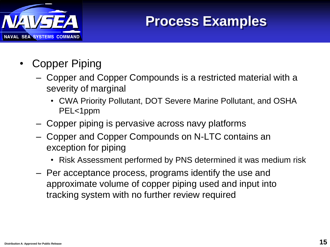

### **Process Examples**

- **Copper Piping** 
	- Copper and Copper Compounds is a restricted material with a severity of marginal
		- CWA Priority Pollutant, DOT Severe Marine Pollutant, and OSHA PEL<1ppm
	- Copper piping is pervasive across navy platforms
	- Copper and Copper Compounds on N-LTC contains an exception for piping
		- Risk Assessment performed by PNS determined it was medium risk
	- Per acceptance process, programs identify the use and approximate volume of copper piping used and input into tracking system with no further review required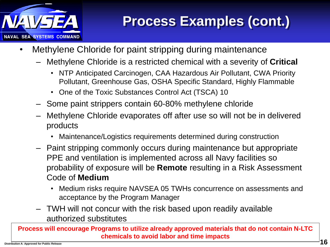

## **Process Examples (cont.)**

- Methylene Chloride for paint stripping during maintenance
	- Methylene Chloride is a restricted chemical with a severity of **Critical**
		- NTP Anticipated Carcinogen, CAA Hazardous Air Pollutant, CWA Priority Pollutant, Greenhouse Gas, OSHA Specific Standard, Highly Flammable
		- One of the Toxic Substances Control Act (TSCA) 10
	- Some paint strippers contain 60-80% methylene chloride
	- Methylene Chloride evaporates off after use so will not be in delivered products
		- Maintenance/Logistics requirements determined during construction
	- Paint stripping commonly occurs during maintenance but appropriate PPE and ventilation is implemented across all Navy facilities so probability of exposure will be **Remote** resulting in a Risk Assessment Code of **Medium**
		- Medium risks require NAVSEA 05 TWHs concurrence on assessments and acceptance by the Program Manager
	- TWH will not concur with the risk based upon readily available authorized substitutes

**Process will encourage Programs to utilize already approved materials that do not contain N-LTC chemicals to avoid labor and time impacts**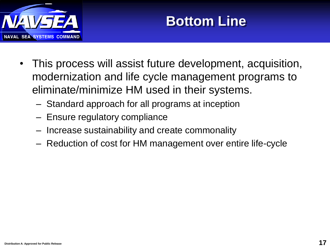

# **Bottom Line**

- This process will assist future development, acquisition, modernization and life cycle management programs to eliminate/minimize HM used in their systems.
	- Standard approach for all programs at inception
	- Ensure regulatory compliance
	- Increase sustainability and create commonality
	- Reduction of cost for HM management over entire life-cycle